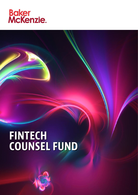

# FINTECH COUNSEL FUND

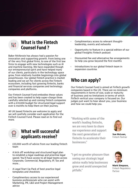

## What is the Fintech Counsel Fund ?

Baker McKenzie has always had a passion for innovation and supporting growth. From being one of the very first global firms, to one of the first law firms to engage with new technologies such as AI and machine learning. We have expanded though our entrepreneurial spirit and have helped many of our clients, particularly in the technology space grow, from relatively humble beginnings into global powerhouses. Our global fintech practice is market leading and we act for clients across the Fintech ecosystem, including fast growing fintechs, banks and financial services companies and technology companies and platforms.

Our Fintech Counsel Fund embodies these values and has been created to help super-charge three carefully selected up and coming fintech companies with a £33,000 budget for structured legal support over 6 months to help them on their journey.

All UK based Fintechs are welcome to apply and we will carefully consider each application for the FinTech Counsel Fund. Please read on to find out more.



## What will successful applicants receive?

- £33,000 worth of advice from our leading fintech team
- A kick off workshop and structured legal plan to establish a legal roadmap and prioritise legal spend. You'll have access to all legal teams across Corporate, Commercial, Regulatory, IP, Tax and more…
- A Legal Start Up Pack of best practice legal templates and checklists
- Complimentary access to our experienced business professionals who can assist with Marketing, PR, L&D and Project Management advice
- Complimentary access to relevant thoughtleadership, events and networks
- Opportunity to feature in a special edition of our global Finsights Fintech podcast
- Discounted fee and alternative fee arrangements to help you grow beyond the first months
- Introductions to our global fintech team in expansion countries

## Who can apply?

Our Fintech Counsel Fund is aimed at FinTech growth companies based in the UK. There are no minimum requirements in terms of size, scale or maturity of business and no limitations in terms of which FinTech vertical your company is focused on. Our judges just want to hear about you, your business and how we could help you.

"Working with some of the world's leading fintechs, we are very keen to share our experience and support the next generation of fintechs to accelerate their businesses."



Sue McLean, Fintech Partner

"I get no greater pleasure than seeing our strategic legal advice really help businesses grow and avoid unexpected pitfalls."



Mark Simpson, Fintech Regulatory Partner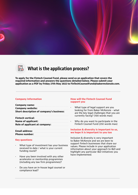



# What is the application process?

To apply for the Fintech Counsel Fund, please send us an application that covers the required information and answers the questions detailed below. Please submit your application as a PDF by Friday 27th May 2022 to FinTechCounselFund@bakermckenzie.com.

#### Company Information

| Company name:                                   |  |
|-------------------------------------------------|--|
| <b>Company website:</b>                         |  |
| <b>Short description of company's business:</b> |  |
|                                                 |  |
| Name of applicant:                              |  |
| Role of applicant at company: <b>many</b>       |  |
| <b>Email address:</b>                           |  |
| <b>Phone number:</b>                            |  |

#### Key questions

- What type of investment has your business received to date / what is your current funding round?
- Have you been involved with any other accelerator or mentorship programmes (including any law firm programmes)?
- Do you have an in-house legal counsel or compliance lead?

#### How will the Fintech Counsel Fund support you

- What type of legal support are you looking for from Baker McKenzie - what are the key legal challenges that you are currently facing? (100 words max)
- Why do you want to participate in the Fintech Counsel Fund (250 words max)

#### Inclusion & diversity is important to us, we hope it is important to you too

Inclusion & diversity is very important to Baker McKenzie and we are keen to support fintech businesses that share our values. Please include in your application information about your approach to I&D and highlight any particular I&D initiatives you have implemented.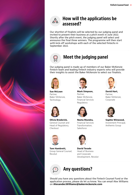ය<br>ඇත

## How will the applications be assessed?

Our shortlist of finalists will be selected by our judging panel and invited to present their business at a pitch event in June 2022. Shortly after the pitch event, the judging panel will select and announce the final three winners. The programme will then start with kick-off workshops with each of the selected fintechs in September 2022.



# Meet the judging panel

Our judging panel is made up of members of our Baker McKenzie fintech team and leading fintech industry experts who will provide their insights to assist the Baker McKenzie to select our finalists.



Sue McLean Partner, Baker McKenzie, Technology



Olivia Broderick, General Counsel and Head of Regulatory, Checkout



Tom Hambrett, Group General Counsel, Revolut



Mark Simpson, Partner, Baker McKenzie, Financial Services Regulatory



Neeta Mundra, Financial Services Transformation, Salesforce



David Terado Head of Business and Corporate Development, Revolut



David Hart, Partner, Baker McKenzie, Corporate



Sophie Winwood, Investment Principal, Anthemis Group



Should you have any questions about the Fintech Counsel Fund or the application process, please do let us know. You can email Alex Williams on Alexander.Williams@bakermckenzie.com